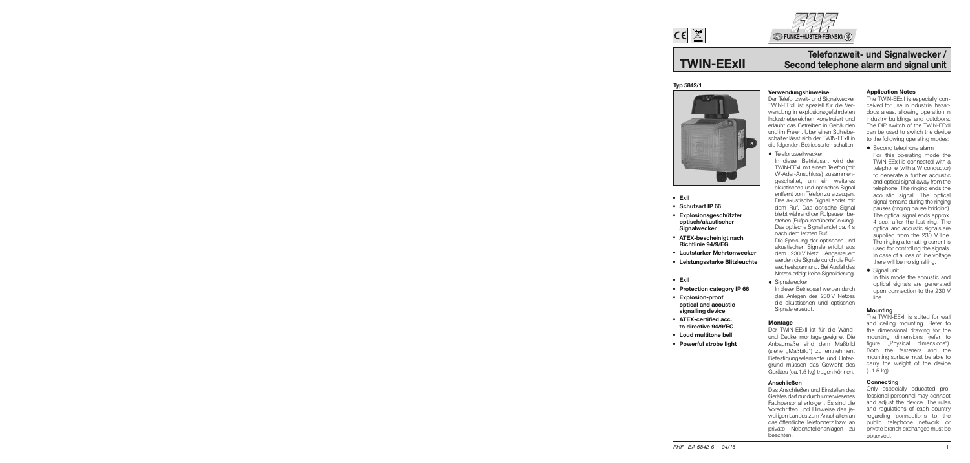

# **TWIN-EExII**

# **Telefonzweit- und Signalwecker / Second telephone alarm and signal unit**

# **Typ 5842/1**



- **ExII**
- **Schutzart IP 66**
- **Explosionsgeschützter optisch/akustischer Signalwecker**
- **ATEX-bescheinigt nach Richtlinie 94/9/EG**
- **Lautstarker Mehrtonwecker**
- **Leistungsstarke Blitzleuchte**
- **ExII**
- **Protection category IP 66**
- **Explosion-proof optical and acoustic signalling device**
- **ATEX-certified acc. to directive 94/9/EC**
- **Loud multitone bell**
- **Powerful strobe light**

#### **Verwendungshinweise**

Der Telefonzweit- und Signalwecker TWIN-EExII ist speziell für die Verwendung in explosionsgefährdeten Industriebereichen konstruiert und erlaubt das Betreiben in Gebäuden und im Freien. Über einen Schiebeschalter lässt sich der TWIN-EExII in die folgenden Betriebsarten schalten:

• Telefonzweitwecker

 In dieser Betriebsart wird der TWIN-EExII mit einem Telefon (mit W-Ader-Anschluss) zusammengeschaltet, um ein weiteres akustisches und optisches Signal entfernt vom Telefon zu erzeugen. Das akustische Signal endet mit dem Ruf. Das optische Signal bleibt während der Rufpausen bestehen (Rufpausenüberbrückung). Das optische Signal endet ca. 4 s nach dem letzten Ruf.

 Die Speisung der optischen und akustischen Signale erfolgt aus dem 230 V Netz. Angesteuert werden die Signale durch die Rufwechselspannung. Bei Ausfall des Netzes erfolgt keine Signalisierung.

• Signalwecker In dieser Betriebsart werden durch das Anlegen des 230 V Netzes die akustischen und optischen Signale erzeugt.

#### **Montage**

Der TWIN-EExII ist für die Wandund Deckenmontage geeignet. Die Anbaumaße sind dem Maßbild (siehe "Maßbild") zu entnehmen. Befestigungselemente und Untergrund müssen das Gewicht des Gerätes (ca.1,5 kg) tragen können.

#### **Anschließen**

Das Anschließen und Einstellen des Gerätes darf nur durch unterwiesenes Fachpersonal erfolgen. Es sind die Vorschriften und Hinweise des jeweiligen Landes zum Anschalten an das öffentliche Telefonnetz bzw. an private Nebenstellenanlagen zu beachten.

# **Application Notes**

The TWIN-EExII is especially conceived for use in industrial hazardous areas, allowing operation in in dustry buildings and outdoors. The DIP switch of the TWIN-EExII can be used to switch the device to the following operating modes:

• Second telephone alarm

 For this operating mode the TWIN-EExII is connected with a telephone (with a W conductor) to generate a further acoustic and optical signal away from the telephone. The ringing ends the acoustic signal. The optical signal remains during the ringing pauses (ringing pause bridging). The optical signal ends approx. 4 sec. after the last ring. The optical and acoustic signals are supplied from the 230 V line. The ringing alternating current is used for controlling the signals. In case of a loss of line voltage there will be no signalling.

• Signal unit In this mode the acoustic and optical signals are generated upon connection to the 230 V line.

#### **Mounting**

The TWIN-EExII is suited for wall and ceiling mounting. Refer to the dimensional drawing for the mounting dimensions (refer to figure "Physical dimensions"). Both the fasteners and the mounting surface must be able to carry the weight of the device (~1.5 kg).

#### **Connecting**

Only especially educated pro fessional personnel may connect and adjust the device. The rules and regulations of each country regarding connections to the public telephone network or private branch exchanges must be observed.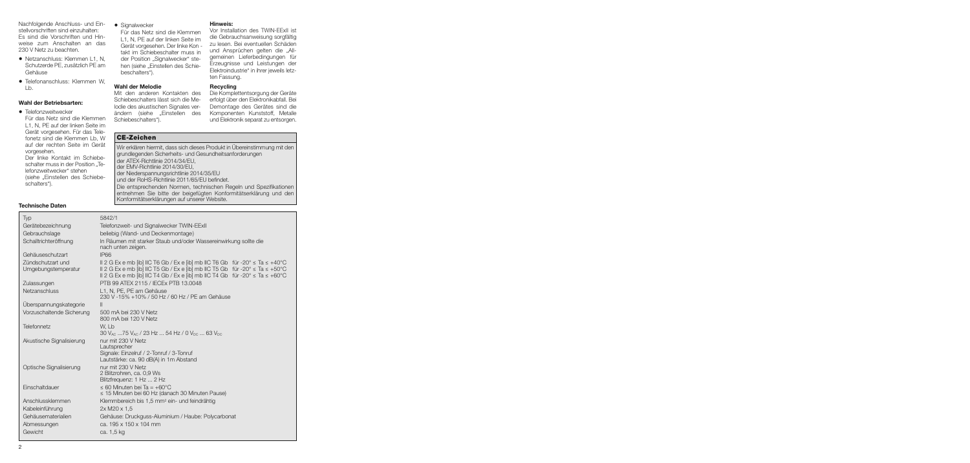Nachfolgende Anschluss- und Einstellvorschriften sind einzuhalten: Es sind die Vorschriften und Hinweise zum Anschalten an das 230 V Netz zu beachten.

- Netzanschluss: Klemmen L1, N, Schutzerde PE, zusätzlich PE am Gehäuse
- Telefonanschluss: Klemmen W, Lb.

#### **Wahl der Betriebsarten:**

• Telefonzweitwecker Für das Netz sind die Klemmen L1, N, PE auf der linken Seite im Gerät vorgesehen. Für das Telefonetz sind die Klemmen Lb, W auf der rechten Seite im Gerät vorgesehen.

 Der linke Kontakt im Schiebeschalter muss in der Position ..Telefonzweitwecker" stehen (siehe "Einstellen des Schiebeschalters").

**Technische Daten**

• Signalwecker

 Für das Netz sind die Klemmen L1, N, PE auf der linken Seite im Gerät vorgesehen. Der linke Kon takt im Schiebeschalter muss in der Position "Signalwecker" stehen (siehe "Einstellen des Schiebeschalters").

## **Wahl der Melodie**

Mit den anderen Kontakten des Schiebeschalters lässt sich die Melodie des akustischen Signales verändern (siehe "Einstellen des Schiebeschalters").

#### **Hinweis:**

Vor Installation des TWIN-EExII ist die Gebrauchsanweisung sorgfältig zu lesen. Bei eventuellen Schäden und Ansprüchen gelten die "Allgemeinen Lieferbedingungen für Erzeugnisse und Leistungen der Elektroindustrie" in ihrer jeweils letzten Fassung.

#### **Recycling**

Die Komplettentsorgung der Geräte erfolgt über den Elektronikabfall. Bei Demontage des Gerätes sind die Komponenten Kunststoff, Metalle und Elektronik separat zu entsorgen.

# **CE-Zeichen**

| Wir erklären hiermit, dass sich dieses Produkt in Übereinstimmung mit den<br>grundlegenden Sicherheits- und Gesundheitsanforderungen                                                   |
|----------------------------------------------------------------------------------------------------------------------------------------------------------------------------------------|
| der ATEX-Richtlinie 2014/34/EU.                                                                                                                                                        |
| der EMV-Richtlinie 2014/30/EU,                                                                                                                                                         |
| der Niederspannungsrichtlinie 2014/35/EU                                                                                                                                               |
| und der RoHS-Richtlinie 2011/65/EU befindet.                                                                                                                                           |
| Die entsprechenden Normen, technischen Regeln und Spezifikationen<br>entnehmen Sie bitte der beigefügten Konformitätserklärung und den<br>Konformitätserklärungen auf unserer Website. |

| Typ                       | 5842/1                                                                                                                                                                                                                     |
|---------------------------|----------------------------------------------------------------------------------------------------------------------------------------------------------------------------------------------------------------------------|
| Gerätebezeichnung         | Telefonzweit- und Signalwecker TWIN-EExII                                                                                                                                                                                  |
| Gebrauchslage             | beliebig (Wand- und Deckenmontage)                                                                                                                                                                                         |
| Schalltrichteröffnung     | In Räumen mit starker Staub und/oder Wassereinwirkung sollte die<br>nach unten zeigen.                                                                                                                                     |
| Gehäuseschutzart          | <b>IP66</b>                                                                                                                                                                                                                |
| Zündschutzart und         | II 2 G Ex e mb [ib] IIC T6 Gb / Ex e [ib] mb IIC T6 Gb für -20 $^{\circ}$ $\leq$ Ta $\leq$ +40 $^{\circ}$ C                                                                                                                |
| Umgebungstemperatur       | Il 2 G Ex e mb [ib] IIC T5 Gb / Ex e [ib] mb IIC T5 Gb für -20 $^{\circ}$ $\leq$ Ta $\leq$ +50 $^{\circ}$ C<br>Il 2 G Ex e mb [ib] IIC T4 Gb / Ex e [ib] mb IIC T4 Gb für -20 $^{\circ}$ $\leq$ Ta $\leq$ +60 $^{\circ}$ C |
| Zulassungen               | PTB 99 ATEX 2115 / IECEx PTB 13,0048                                                                                                                                                                                       |
| Netzanschluss             | L1, N, PE, PE am Gehäuse<br>230 V -15% +10% / 50 Hz / 60 Hz / PE am Gehäuse                                                                                                                                                |
| Überspannungskategorie    | $\mathbf{II}$                                                                                                                                                                                                              |
| Vorzuschaltende Sicherung | 500 mA bei 230 V Netz<br>800 mA bei 120 V Netz                                                                                                                                                                             |
| <b>Telefonnetz</b>        | W. Lb<br>30 V <sub>AC</sub> 75 V <sub>AC</sub> / 23 Hz  54 Hz / 0 V <sub>DC</sub> 63 V <sub>DC</sub>                                                                                                                       |
| Akustische Signalisierung | nur mit 230 V Netz<br>Lautsprecher<br>Signale: Einzelruf / 2-Tonruf / 3-Tonruf<br>Lautstärke: ca. 90 dB(A) in 1m Abstand                                                                                                   |
| Optische Signalisierung   | nur mit 230 V Netz<br>2 Blitzrohren, ca. 0,9 Ws<br>Blitzfrequenz: 1 Hz  2 Hz                                                                                                                                               |
| Einschaltdauer            | $\leq$ 60 Minuten bei Ta = +60°C<br>≤ 15 Minuten bei 60 Hz (danach 30 Minuten Pause)                                                                                                                                       |
| Anschlussklemmen          | Klemmbereich bis 1,5 mm <sup>2</sup> ein- und feindrähtig                                                                                                                                                                  |
| Kabeleinführung           | 2x M20 x 1.5                                                                                                                                                                                                               |
| Gehäusematerialien        | Gehäuse: Druckguss-Aluminium / Haube: Polycarbonat                                                                                                                                                                         |
| Abmessungen               | ca. 195 x 150 x 104 mm                                                                                                                                                                                                     |
| Gewicht                   | ca. 1,5 kg                                                                                                                                                                                                                 |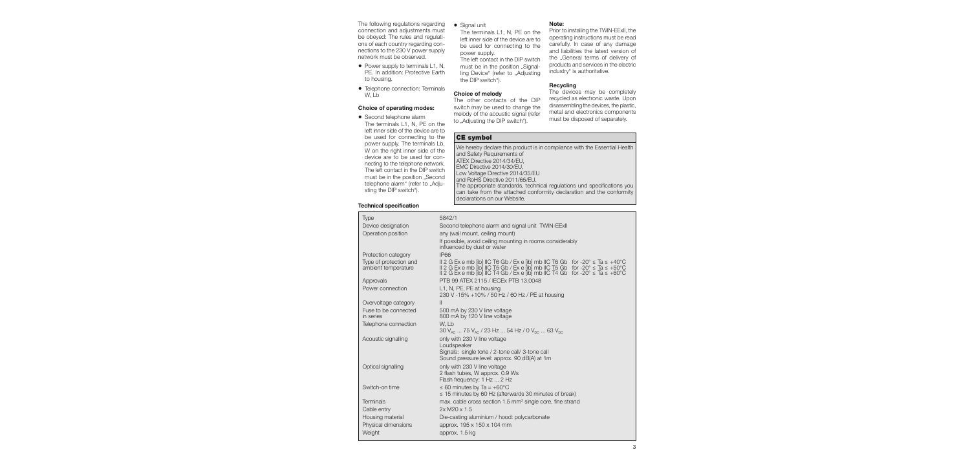The following regulations regarding connection and adjustments must be obeyed: The rules and regulations of each country regarding connections to the 230 V power supply network must be observed.

- Power supply to terminals L1, N, PE. In addition: Protective Earth to housing.
- Telephone connection: Terminals W, Lb

#### **Choice of operating modes:**

• Second telephone alarm The terminals L1, N, PE on the left inner side of the device are to be used for connecting to the power supply. The terminals Lb, W on the right inner side of the device are to be used for connecting to the telephone network. The left contact in the DIP switch must be in the position ..Second telephone alarm" (refer to "Adjusting the DIP switch").

#### **Technical specification**

• Signal unit

 The terminals L1, N, PE on the left inner side of the device are to be used for connecting to the power supply.

 The left contact in the DIP switch must be in the position "Signalling Device" (refer to ..Adiusting the DIP switch").

#### **Choice of melody**

The other contacts of the DIP switch may be used to change the melody of the acoustic signal (refer to "Adjusting the DIP switch").

#### **Note:**

Prior to installing the TWIN-EExII, the operating instructions must be read carefully. In case of any damage and liabilities the latest version of the ..General terms of delivery of products and services in the electric industry" is authoritative.

#### **Recycling**

The devices may be completely recycled as electronic waste. Upon disassembling the devices, the plastic, metal and electronics components must be disposed of separately.

# **CE symbol**

We hereby declare this product is in compliance with the Essential Health and Safety Requirements of ATEX Directive 2014/34/EU, EMC Directive 2014/30/EU, Low Voltage Directive 2014/35/EU and RoHS Directive 2011/65/EU. The appropriate standards, technical regulations und specifications you can take from the attached conformity declaration and the conformity declarations on our Website.

| Type                              | 5842/1                                                                                                                                                                                                                              |
|-----------------------------------|-------------------------------------------------------------------------------------------------------------------------------------------------------------------------------------------------------------------------------------|
| Device designation                | Second telephone alarm and signal unit TWIN-EExII                                                                                                                                                                                   |
| Operation position                | any (wall mount, ceiling mount)                                                                                                                                                                                                     |
|                                   | If possible, avoid ceiling mounting in rooms considerably<br>influenced by dust or water                                                                                                                                            |
| Protection category               | <b>IP66</b>                                                                                                                                                                                                                         |
| Type of protection and            |                                                                                                                                                                                                                                     |
| ambient temperature               | II 2 G Ex e mb [ib] IIC T6 Gb / Ex e [ib] mb IIC T6 Gb for -20° s Ta s +40°C<br>II 2 G Ex e mb [ib] IIC T5 Gb / Ex e [ib] mb IIC T5 Gb for -20° s Ta s +50°C<br>II 2 G Ex e mb [ib] IIC T4 Gb / Ex e [ib] mb IIC T4 Gb for -20° s T |
| Approvals                         | PTB 99 ATEX 2115 / IECEx PTB 13.0048                                                                                                                                                                                                |
| Power connection                  | L1, N, PE, PE at housing<br>230 V -15% +10% / 50 Hz / 60 Hz / PE at housing                                                                                                                                                         |
| Overvoltage category              | $\mathbf{II}$                                                                                                                                                                                                                       |
| Fuse to be connected<br>in series | 500 mA by 230 V line voltage<br>800 mA by 120 V line voltage                                                                                                                                                                        |
| Telephone connection              | W. Lb<br>30 $V_{AC}$ 75 $V_{AC}$ / 23 Hz  54 Hz / 0 $V_{DC}$ 63 $V_{DC}$                                                                                                                                                            |
| Acoustic signalling               | only with 230 V line voltage                                                                                                                                                                                                        |
|                                   | Loudspeaker                                                                                                                                                                                                                         |
|                                   | Signals: single tone / 2-tone call/ 3-tone call<br>Sound pressure level: approx. 90 dB(A) at 1m                                                                                                                                     |
| Optical signalling                | only with 230 V line voltage                                                                                                                                                                                                        |
|                                   | 2 flash tubes, W approx. 0.9 Ws                                                                                                                                                                                                     |
| Switch-on time                    | Flash frequency: 1 Hz  2 Hz<br>$\leq 60$ minutes by Ta = +60°C                                                                                                                                                                      |
|                                   | $\leq$ 15 minutes by 60 Hz (afterwards 30 minutes of break)                                                                                                                                                                         |
| <b>Terminals</b>                  | max. cable cross section 1.5 mm <sup>2</sup> single core, fine strand                                                                                                                                                               |
| Cable entry                       | 2x M20 x 1.5                                                                                                                                                                                                                        |
| Housing material                  | Die-casting aluminium / hood: polycarbonate                                                                                                                                                                                         |
| Physical dimensions               | approx. 195 x 150 x 104 mm                                                                                                                                                                                                          |
| Weight                            | approx. 1.5 kg                                                                                                                                                                                                                      |
|                                   |                                                                                                                                                                                                                                     |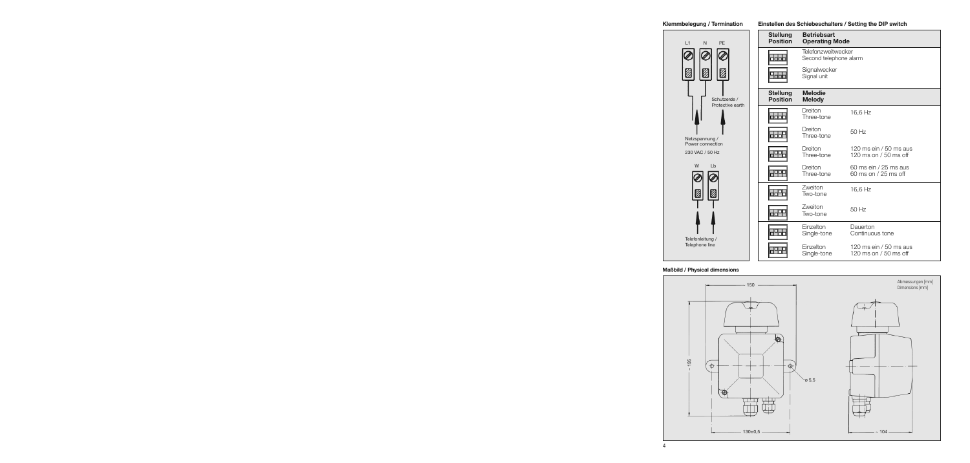#### **Klemmbelegung / Termination**



#### **Einstellen des Schiebeschalters / Setting the DIP switch**

| <b>Stellung</b><br><b>Position</b> | <b>Betriebsart</b><br><b>Operating Mode</b>  |                                                  |
|------------------------------------|----------------------------------------------|--------------------------------------------------|
|                                    | Telefonzweitwecker<br>Second telephone alarm |                                                  |
|                                    | Signalwecker<br>Signal unit                  |                                                  |
| <b>Stellung</b><br><b>Position</b> | <b>Melodie</b><br><b>Melody</b>              |                                                  |
|                                    | Dreiton<br>Three-tone                        | 16,6 Hz                                          |
|                                    | Dreiton<br>Three-tone                        | 50 Hz                                            |
|                                    | Dreiton<br>Three-tone                        | 120 ms ein / 50 ms aus<br>120 ms on $/50$ ms off |
|                                    | Dreiton<br>Three-tone                        | 60 ms ein / 25 ms aus<br>60 ms on / 25 ms off    |
|                                    | Zweiton<br>Two-tone                          | 16,6 Hz                                          |
|                                    | Zweiton<br>Two-tone                          | 50 Hz                                            |
|                                    | Einzelton<br>Single-tone                     | Dauerton<br>Continuous tone                      |
|                                    | Einzelton<br>Single-tone                     | 120 ms ein / 50 ms aus<br>120 ms on $/50$ ms off |

## **Maßbild / Physical dimensions**

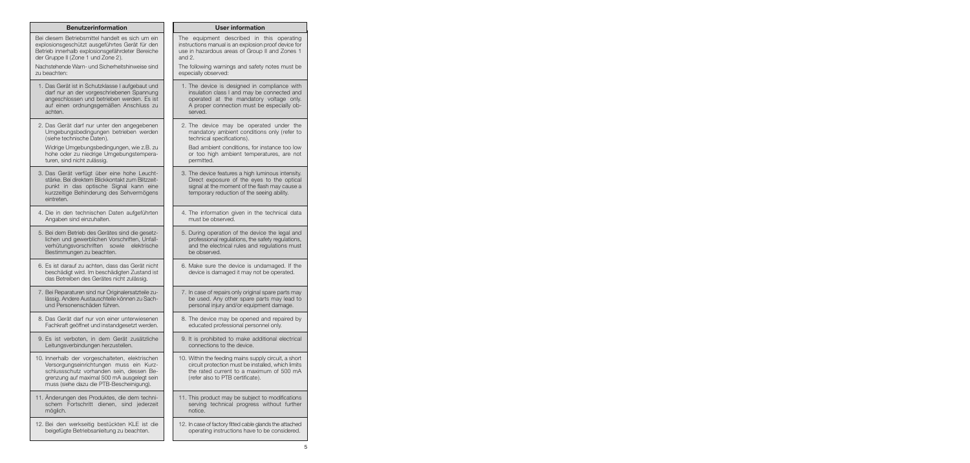| <b>Benutzerinformation</b>                                                                                                                                                                                                       | <b>User information</b>                                                                                                                                                                        |
|----------------------------------------------------------------------------------------------------------------------------------------------------------------------------------------------------------------------------------|------------------------------------------------------------------------------------------------------------------------------------------------------------------------------------------------|
| Bei diesem Betriebsmittel handelt es sich um ein                                                                                                                                                                                 | The equipment described in this operating                                                                                                                                                      |
| explosionsgeschützt ausgeführtes Gerät für den                                                                                                                                                                                   | instructions manual is an explosion proof device for                                                                                                                                           |
| Betrieb innerhalb explosionsgefährdeter Bereiche                                                                                                                                                                                 | use in hazardous areas of Group II and Zones 1                                                                                                                                                 |
| der Gruppe II (Zone 1 und Zone 2).                                                                                                                                                                                               | and $2$ .                                                                                                                                                                                      |
| Nachstehende Warn- und Sicherheitshinweise sind                                                                                                                                                                                  | The following warnings and safety notes must be                                                                                                                                                |
| zu beachten:                                                                                                                                                                                                                     | especially observed:                                                                                                                                                                           |
| 1. Das Gerät ist in Schutzklasse I aufgebaut und                                                                                                                                                                                 | 1. The device is designed in compliance with                                                                                                                                                   |
| darf nur an der vorgeschriebenen Spannung                                                                                                                                                                                        | insulation class I and may be connected and                                                                                                                                                    |
| angeschlossen und betrieben werden. Es ist                                                                                                                                                                                       | operated at the mandatory voltage only.                                                                                                                                                        |
| auf einen ordnungsgemäßen Anschluss zu                                                                                                                                                                                           | A proper connection must be especially ob-                                                                                                                                                     |
| achten.                                                                                                                                                                                                                          | served.                                                                                                                                                                                        |
| 2. Das Gerät darf nur unter den angegebenen                                                                                                                                                                                      | 2. The device may be operated under the                                                                                                                                                        |
| Umgebungsbedingungen betrieben werden                                                                                                                                                                                            | mandatory ambient conditions only (refer to                                                                                                                                                    |
| (siehe technische Daten).                                                                                                                                                                                                        | technical specifications).                                                                                                                                                                     |
| Widrige Umgebungsbedingungen, wie z.B. zu                                                                                                                                                                                        | Bad ambient conditions, for instance too low                                                                                                                                                   |
| hohe oder zu niedrige Umgebungstempera-                                                                                                                                                                                          | or too high ambient temperatures, are not                                                                                                                                                      |
| turen, sind nicht zulässig.                                                                                                                                                                                                      | permitted.                                                                                                                                                                                     |
| 3. Das Gerät verfügt über eine hohe Leucht-<br>stärke. Bei direktem Blickkontakt zum Blitzzeit-<br>punkt in das optische Signal kann eine<br>kurzzeitige Behinderung des Sehvermögens<br>eintreten.                              | 3. The device features a high luminous intensity.<br>Direct exposure of the eyes to the optical<br>signal at the moment of the flash may cause a<br>temporary reduction of the seeing ability. |
| 4. Die in den technischen Daten aufgeführten                                                                                                                                                                                     | 4. The information given in the technical data                                                                                                                                                 |
| Angaben sind einzuhalten.                                                                                                                                                                                                        | must be observed.                                                                                                                                                                              |
| 5. Bei dem Betrieb des Gerätes sind die gesetz-<br>lichen und gewerblichen Vorschriften, Unfall-<br>verhütungsvorschriften sowie<br>elektrische<br>Bestimmungen zu beachten.                                                     | 5. During operation of the device the legal and<br>professional regulations, the safety regulations,<br>and the electrical rules and regulations must<br>be observed.                          |
| 6. Es ist darauf zu achten, dass das Gerät nicht<br>beschädigt wird. Im beschädigten Zustand ist<br>das Betreiben des Gerätes nicht zulässig.                                                                                    | 6. Make sure the device is undamaged. If the<br>device is damaged it may not be operated.                                                                                                      |
| 7. Bei Reparaturen sind nur Originalersatzteile zu-                                                                                                                                                                              | 7. In case of repairs only original spare parts may                                                                                                                                            |
| lässig. Andere Austauschteile können zu Sach-                                                                                                                                                                                    | be used. Any other spare parts may lead to                                                                                                                                                     |
| und Personenschäden führen.                                                                                                                                                                                                      | personal injury and/or equipment damage.                                                                                                                                                       |
| 8. Das Gerät darf nur von einer unterwiesenen                                                                                                                                                                                    | 8. The device may be opened and repaired by                                                                                                                                                    |
| Fachkraft geöffnet und instandgesetzt werden.                                                                                                                                                                                    | educated professional personnel only.                                                                                                                                                          |
| 9. Es ist verboten, in dem Gerät zusätzliche                                                                                                                                                                                     | 9. It is prohibited to make additional electrical                                                                                                                                              |
| Leitungsverbindungen herzustellen.                                                                                                                                                                                               | connections to the device.                                                                                                                                                                     |
| 10. Innerhalb der vorgeschalteten, elektrischen<br>Versorgungseinrichtungen muss ein Kurz-<br>schlussschutz vorhanden sein, dessen Be-<br>grenzung auf maximal 500 mA ausgelegt sein<br>muss (siehe dazu die PTB-Bescheinigung). | 10. Within the feeding mains supply circuit, a short<br>circuit protection must be installed, which limits<br>the rated current to a maximum of 500 mA<br>(refer also to PTB certificate).     |
| 11. Anderungen des Produktes, die dem techni-                                                                                                                                                                                    | 11. This product may be subject to modifications                                                                                                                                               |
| schem Fortschritt dienen, sind jederzeit                                                                                                                                                                                         | serving technical progress without further                                                                                                                                                     |
| möglich.                                                                                                                                                                                                                         | notice.                                                                                                                                                                                        |
| 12. Bei den werkseitig bestückten KLE ist die                                                                                                                                                                                    | 12. In case of factory fitted cable glands the attached                                                                                                                                        |
| beigefügte Betriebsanleitung zu beachten.                                                                                                                                                                                        | operating instructions have to be considered.                                                                                                                                                  |